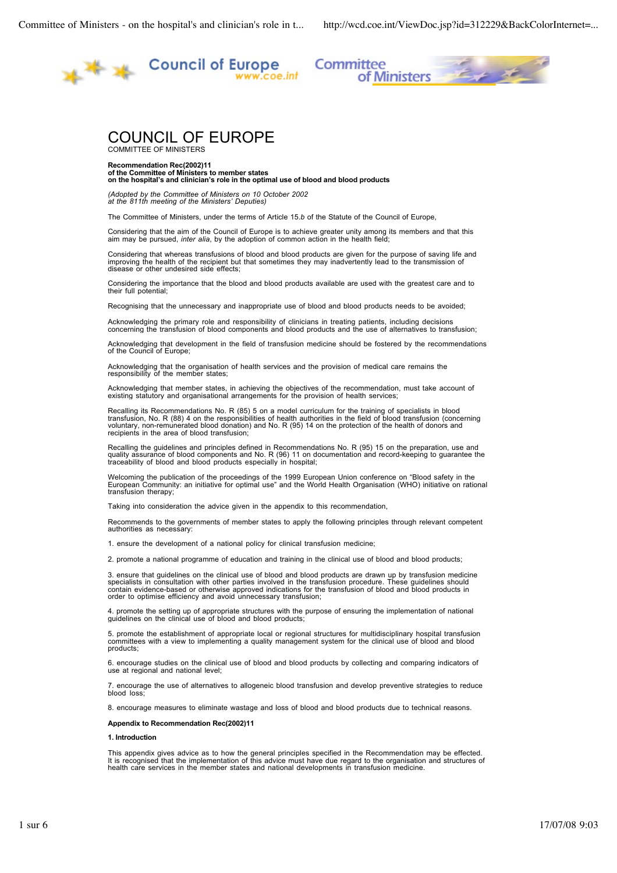

Committee ittee<br>of Ministers

## COUNCIL OF EUROPE COMMITTEE OF MINISTERS

**Recommendation Rec(2002)11 of the Committee of Ministers to member states on the hospital's and clinician's role in the optimal use of blood and blood products**

*(Adopted by the Committee of Ministers on 10 October 2002 at the 811th meeting of the Ministers' Deputies)*

The Committee of Ministers, under the terms of Article 15.*b* of the Statute of the Council of Europe,

Considering that the aim of the Council of Europe is to achieve greater unity among its members and that this aim may be pursued, *inter alia*, by the adoption of common action in the health field;

Considering that whereas transfusions of blood and blood products are given for the purpose of saving life and<br>improving the health of the recipient but that sometimes they may inadvertently lead to the transmission of<br>dis

Considering the importance that the blood and blood products available are used with the greatest care and to their full potential;

Recognising that the unnecessary and inappropriate use of blood and blood products needs to be avoided;

Acknowledging the primary role and responsibility of clinicians in treating patients, including decisions concerning the transfusion of blood components and blood products and the use of alternatives to transfusion;

Acknowledging that development in the field of transfusion medicine should be fostered by the recommendations of the Council of Europe;

Acknowledging that the organisation of health services and the provision of medical care remains the responsibility of the member states;

Acknowledging that member states, in achieving the objectives of the recommendation, must take account of existing statutory and organisational arrangements for the provision of health services;

Recalling its Recommendations No. R (85) 5 on a model curriculum for the training of specialists in blood<br>transfusion, No. R (88) 4 on the responsibilities of health authorities in the field of blood transfusion (concernin

Recalling the guidelines and principles defined in Recommendations No. R (95) 15 on the preparation, use and quality assurance of blood components and No. R (96) 11 on documentation and record-keeping to guarantee the traceability of blood and blood products especially in hospital;

Welcoming the publication of the proceedings of the 1999 European Union conference on "Blood safety in the<br>European Community: an initiative for optimal use" and the World Health Organisation (WHO) initiative on rational<br>t

Taking into consideration the advice given in the appendix to this recommendation,

Recommends to the governments of member states to apply the following principles through relevant competent authorities as necessary:

1. ensure the development of a national policy for clinical transfusion medicine;

2. promote a national programme of education and training in the clinical use of blood and blood products;

3. ensure that guidelines on the clinical use of blood and blood products are drawn up by transfusion medicine specialists in consultation with other parties involved in the transfusion procedure. These guidelines should contain evidence-based or otherwise approved indications for the transfusion of blood and blood products in order to optimise efficiency and avoid unnecessary transfusion;

4. promote the setting up of appropriate structures with the purpose of ensuring the implementation of national guidelines on the clinical use of blood and blood products;

5. promote the establishment of appropriate local or regional structures for multidisciplinary hospital transfusion committees with a view to implementing a quality management system for the clinical use of blood and blood products;

6. encourage studies on the clinical use of blood and blood products by collecting and comparing indicators of use at regional and national level;

7. encourage the use of alternatives to allogeneic blood transfusion and develop preventive strategies to reduce blood loss;

8. encourage measures to eliminate wastage and loss of blood and blood products due to technical reasons.

#### **Appendix to Recommendation Rec(2002)11**

#### **1. Introduction**

This appendix gives advice as to how the general principles specified in the Recommendation may be effected.<br>It is recognised that the implementation of this advice must have due regard to the organisation and structures o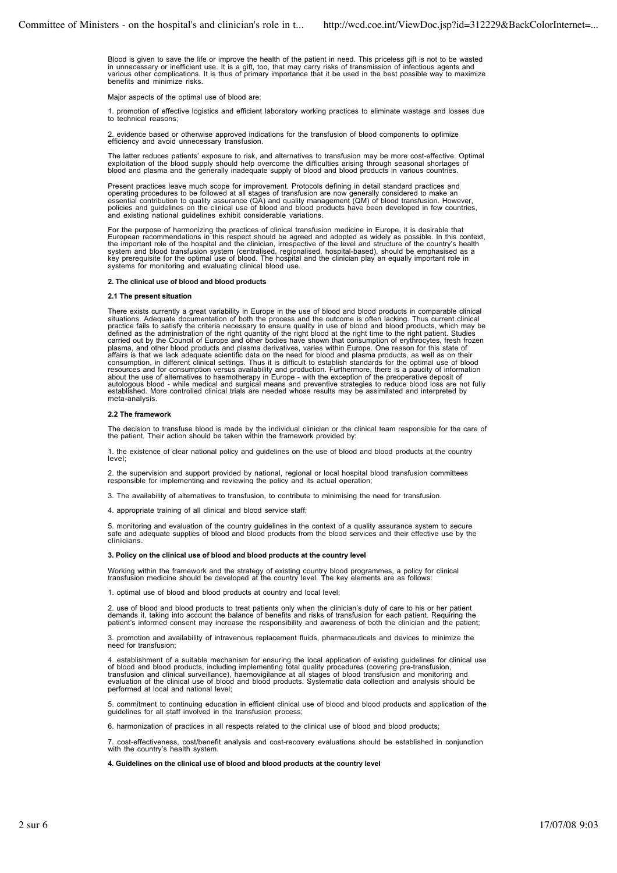Blood is given to save the life or improve the health of the patient in need. This priceless gift is not to be wasted<br>in unnecessary or inefficient use. It is a gift, too, that may carry risks of transmission of infectious various other complications. It is thus of primary importance that it be used in the best possible way to maximize benefits and minimize risks.

Major aspects of the optimal use of blood are:

1. promotion of effective logistics and efficient laboratory working practices to eliminate wastage and losses due to technical reasons;

2. evidence based or otherwise approved indications for the transfusion of blood components to optimize efficiency and avoid unnecessary transfusion.

The latter reduces patients' exposure to risk, and alternatives to transfusion may be more cost-effective. Optimal exploitation of the blood supply should help overcome the difficulties arising through seasonal shortages of blood and plasma and the generally inadequate supply of blood and blood products in various countries.

Present practices leave much scope for improvement. Protocols defining in detail standard practices and<br>operating procedures to be followed at all stages of transfusion are now generally considered to make an<br>essential con policies and guidelines on the clinical use of blood and blood products have been developed in few countries, and existing national guidelines exhibit considerable variations.

For the purpose of harmonizing the practices of clinical transfusion medicine in Europe, it is desirable that<br>European recommendations in this respect should be agreed and adopted as widely as possible. In this context,<br>th system and blood transfusion system (centralised, regionalised, hospital-based), should be emphasised as a<br>key prerequisite for the optimal use of blood. The hospital and the clinician play an equally important role in<br>sys

## **2. The clinical use of blood and blood products**

### **2.1 The present situation**

There exists currently a great variability in Europe in the use of blood and blood products in comparable clinical<br>situations. Adequate documentation of both the process and the outcome is often lacking. Thus current clini plasma, and other blood products and plasma derivatives, varies within Europe. One reason for this state of<br>affairs is that we lack adequate scientific data on the need for blood and plasma products, as well as on their<br>co established. More controlled clinical trials are needed whose results may be assimilated and interpreted by meta-analysis*.*

#### **2.2 The framework**

The decision to transfuse blood is made by the individual clinician or the clinical team responsible for the care of the patient. Their action should be taken within the framework provided by:

1. the existence of clear national policy and guidelines on the use of blood and blood products at the country level;

2. the supervision and support provided by national, regional or local hospital blood transfusion committees responsible for implementing and reviewing the policy and its actual operation;

3. The availability of alternatives to transfusion, to contribute to minimising the need for transfusion.

4. appropriate training of all clinical and blood service staff;

5. monitoring and evaluation of the country guidelines in the context of a quality assurance system to secure safe and adequate supplies of blood and blood products from the blood services and their effective use by the clinicians.

#### **3. Policy on the clinical use of blood and blood products at the country level**

Working within the framework and the strategy of existing country blood programmes, a policy for clinical transfusion medicine should be developed at the country level. The key elements are as follows:

1. optimal use of blood and blood products at country and local level;

2. use of blood and blood products to treat patients only when the clinician's duty of care to his or her patient<br>demands it, taking into account the balance of benefits and risks of transfusion for each patient. Requiring

3. promotion and availability of intravenous replacement fluids, pharmaceuticals and devices to minimize the need for transfusion;

4. establishment of a suitable mechanism for ensuring the local application of existing guidelines for clinical use<br>of blood and blood products, including implementing total quality procedures (covering pre-transfusion,<br>tr performed at local and national level;

5. commitment to continuing education in efficient clinical use of blood and blood products and application of the guidelines for all staff involved in the transfusion process;

harmonization of practices in all respects related to the clinical use of blood and blood products;

7. cost-effectiveness, cost/benefit analysis and cost-recovery evaluations should be established in conjunction with the country's health system.

#### **4. Guidelines on the clinical use of blood and blood products at the country level**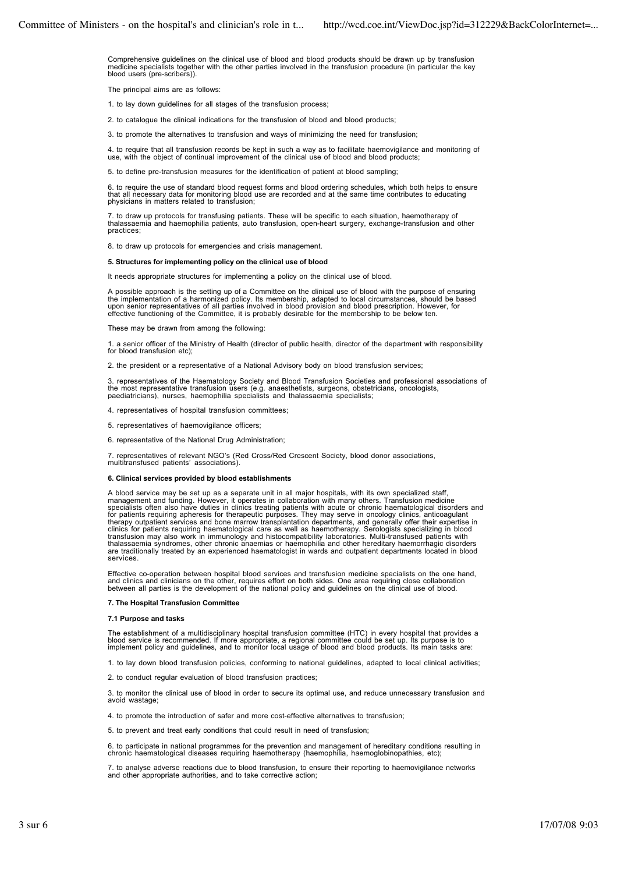Comprehensive guidelines on the clinical use of blood and blood products should be drawn up by transfusion medicine specialists together with the other parties involved in the transfusion procedure (in particular the key blood users (pre-scribers)).

The principal aims are as follows:

1. to lay down guidelines for all stages of the transfusion process;

2. to catalogue the clinical indications for the transfusion of blood and blood products;

3. to promote the alternatives to transfusion and ways of minimizing the need for transfusion;

4. to require that all transfusion records be kept in such a way as to facilitate haemovigilance and monitoring of use, with the object of continual improvement of the clinical use of blood and blood products;

5. to define pre-transfusion measures for the identification of patient at blood sampling;

6. to require the use of standard blood request forms and blood ordering schedules, which both helps to ensure that all necessary data for monitoring blood use are recorded and at the same time contributes to educating physicians in matters related to transfusion;

7. to draw up protocols for transfusing patients. These will be specific to each situation, haemotherapy of thalassaemia and haemophilia patients, auto transfusion, open-heart surgery, exchange-transfusion and other practices;

8. to draw up protocols for emergencies and crisis management.

### **5. Structures for implementing policy on the clinical use of blood**

It needs appropriate structures for implementing a policy on the clinical use of blood.

A possible approach is the setting up of a Committee on the clinical use of blood with the purpose of ensuring<br>the implementation of a harmonized policy. Its membership, adapted to local circumstances, should be based<br>upon effective functioning of the Committee, it is probably desirable for the membership to be below ten.

These may be drawn from among the following:

1. a senior officer of the Ministry of Health (director of public health, director of the department with responsibility for blood transfusion etc);

2. the president or a representative of a National Advisory body on blood transfusion services;

3. representatives of the Haematology Society and Blood Transfusion Societies and professional associations of the most representative transfusion users (e.g. anaesthetists, surgeons, obstetricians, oncologists, paediatricians), nurses, haemophilia specialists and thalassaemia specialists;

4. representatives of hospital transfusion committees;

5. representatives of haemovigilance officers;

6. representative of the National Drug Administration;

7. representatives of relevant NGO's (Red Cross/Red Crescent Society, blood donor associations, multitransfused patients' associations).

#### **6. Clinical services provided by blood establishments**

A blood service may be set up as a separate unit in all major hospitals, with its own specialized staff,<br>management and funding. However, it operates in collaboration with many others. Transfusion medicine<br>specialists ofte transfusion may also work in immunology and histocompatibility laboratories. Multi-transfused patients with<br>thalassaemia syndromes, other chronic anaemias or haemophilia and other hereditary haemorrhagic disorders<br>are trad services.

Effective co-operation between hospital blood services and transfusion medicine specialists on the one hand,<br>and clinics and clinicians on the other, requires effort on both sides. One area requiring close collaboration<br>be

#### **7. The Hospital Transfusion Committee**

#### **7.1 Purpose and tasks**

The establishment of a multidisciplinary hospital transfusion committee (HTC) in every hospital that provides a<br>blood service is recommended. If more appropriate, a regional committee could be set up. Its purpose is to<br>imp

1. to lay down blood transfusion policies, conforming to national guidelines, adapted to local clinical activities;

2. to conduct regular evaluation of blood transfusion practices;

3. to monitor the clinical use of blood in order to secure its optimal use, and reduce unnecessary transfusion and avoid wastage;

4. to promote the introduction of safer and more cost-effective alternatives to transfusion;

5. to prevent and treat early conditions that could result in need of transfusion;

6. to participate in national programmes for the prevention and management of hereditary conditions resulting in chronic haematological diseases requiring haemotherapy (haemophilia, haemoglobinopathies, etc);

7. to analyse adverse reactions due to blood transfusion, to ensure their reporting to haemovigilance networks and other appropriate authorities, and to take corrective action;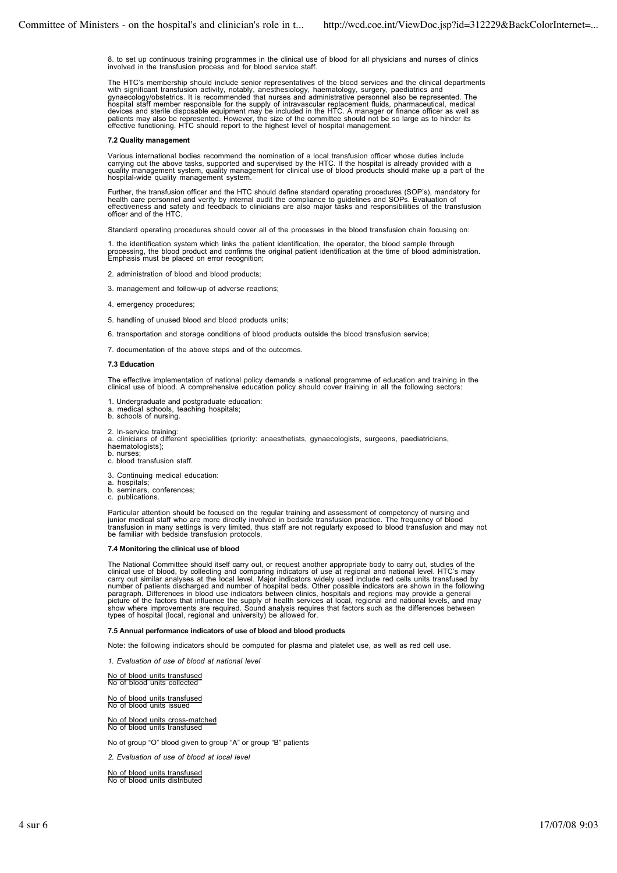8. to set up continuous training programmes in the clinical use of blood for all physicians and nurses of clinics involved in the transfusion process and for blood service staff.

The HTC's membership should include senior representatives of the blood services and the clinical departments with significant transfusion activity, notably, anesthesiology, haematology, surgery, paediatrics and<br>gynaecology/obstetrics. It is recommended that nurses and administrative personnel also be represented. The<br>hospital sta devices and sterile disposable equipment may be included in the HTC. A manager or finance officer as well as<br>patients may also be represented. However, the size of the committee should not be so large as to hinder its<br>effe

## **7.2 Quality management**

Various international bodies recommend the nomination of a local transfusion officer whose duties include carrying out the above tasks, supported and supervised by the HTC. If the hospital is already provided with a quality management system, quality management for clinical use of blood products should make up a part of the hospital-wide quality management system.

Further, the transfusion officer and the HTC should define standard operating procedures (SOP's), mandatory for<br>health care personnel and verify by internal audit the compliance to guidelines and SOPs. Evaluation of<br>effect officer and of the HTC.

Standard operating procedures should cover all of the processes in the blood transfusion chain focusing on:

1. the identification system which links the patient identification, the operator, the blood sample through processing, the blood product and confirms the original patient identification at the time of blood administration. Emphasis must be placed on error recognition;

- 2. administration of blood and blood products;
- 3. management and follow-up of adverse reactions;
- 4. emergency procedures;
- 5. handling of unused blood and blood products units;
- 6. transportation and storage conditions of blood products outside the blood transfusion service;
- 7. documentation of the above steps and of the outcomes.

### **7.3 Education**

The effective implementation of national policy demands a national programme of education and training in the clinical use of blood. A comprehensive education policy should cover training in all the following sectors:

- 1. Undergraduate and postgraduate education: a. medical schools, teaching hospitals;
- 
- b. schools of nursing.
- 
- 2. In-service training:<br>a. clinicians of different specialities (priority: anaesthetists, gynaecologists, surgeons, paediatricians,
- haematologists);
- b. nurses; c. blood transfusion staff.
- 3. Continuing medical education: a. hospitals;
- 
- b. seminars, conferences; c. publications.

Particular attention should be focused on the regular training and assessment of competency of nursing and<br>junior medical staff who are more directly involved in bedside transfusion practice. The frequency of blood<br>transfu

## **7.4 Monitoring the clinical use of blood**

The National Committee should itself carry out, or request another appropriate body to carry out, studies of the colibood, by collecting and comparing indicators of use at regional and national level. HTC's may carry out s types of hospital (local, regional and university) be allowed for.

## **7.5 Annual performance indicators of use of blood and blood products**

Note: the following indicators should be computed for plasma and platelet use, as well as red cell use.

*1. Evaluation of use of blood at national level*

No of blood units transfused

No of blood units collected

No of blood units transfused No of blood units issued

## No of blood units cross-matched No of blood units transfused

No of group "O" blood given to group "A" or group "B" patients

*2. Evaluation of use of blood at local level*

## No of blood units transfused No of blood units distributed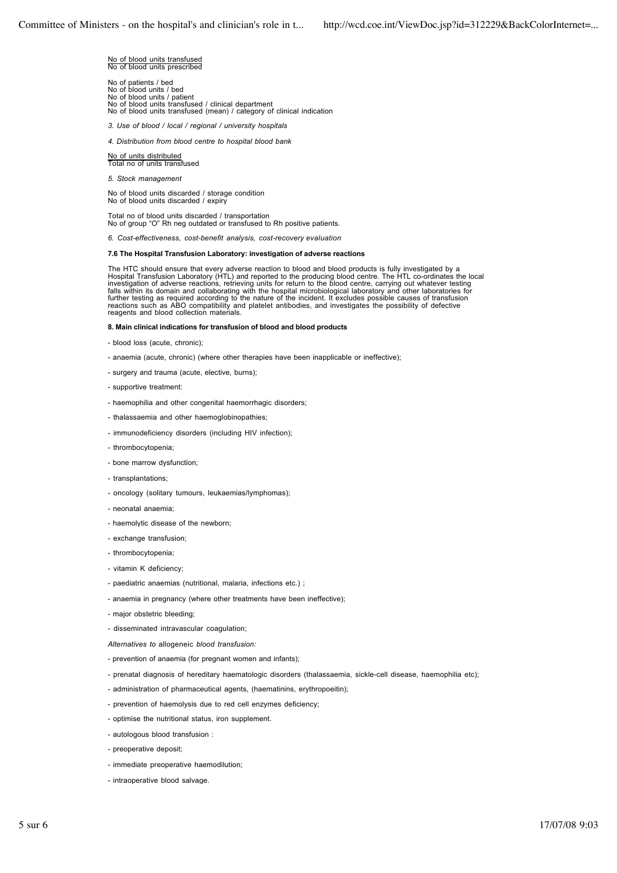# No of blood units transfused No of blood units prescribed

No of patients / bed No of blood units / bed No of blood units / patient No of blood units transfused / clinical department No of blood units transfused (mean) / category of clinical indication

*3. Use of blood / local / regional / university hospitals*

*4. Distribution from blood centre to hospital blood bank*

## No of units distributed Total no of units transfused

*5. Stock management*

No of blood units discarded / storage condition No of blood units discarded / expiry

Total no of blood units discarded / transportation No of group "O" Rh neg outdated or transfused to Rh positive patients.

*6. Cost-effectiveness, cost-benefit analysis, cost-recovery evaluation*

## **7.6 The Hospital Transfusion Laboratory: investigation of adverse reactions**

The HTC should ensure that every adverse reaction to blood and blood products is fully investigated by a<br>Hospital Transfusion Laboratory (HTL) and reported to the producing blood centre. The HTL co-ordinates the local<br>inve further testing as required according to the nature of the incident. It excludes possible causes of transfusion<br>reactions such as ABO compatibility and platelet antibodies, and investigates the possibility of defective<br>rea

### **8. Main clinical indications for transfusion of blood and blood products**

- blood loss (acute, chronic);
- anaemia (acute, chronic) (where other therapies have been inapplicable or ineffective);
- surgery and trauma (acute, elective, burns);
- supportive treatment:
- haemophilia and other congenital haemorrhagic disorders;
- thalassaemia and other haemoglobinopathies;
- immunodeficiency disorders (including HIV infection);
- thrombocytopenia;
- bone marrow dysfunction;
- transplantations;
- oncology (solitary tumours, leukaemias/lymphomas);
- neonatal anaemia;
- haemolytic disease of the newborn;
- exchange transfusion;
- thrombocytopenia;
- vitamin K deficiency;
- paediatric anaemias (nutritional, malaria, infections etc.) ;
- anaemia in pregnancy (where other treatments have been ineffective);
- major obstetric bleeding;
- disseminated intravascular coagulation;

*Alternatives to* allogeneic *blood transfusion:*

- prevention of anaemia (for pregnant women and infants);
- prenatal diagnosis of hereditary haematologic disorders (thalassaemia, sickle-cell disease, haemophilia etc);
- administration of pharmaceutical agents, (haematinins, erythropoeitin);
- prevention of haemolysis due to red cell enzymes deficiency;
- optimise the nutritional status, iron supplement.
- autologous blood transfusion :
- preoperative deposit;
- immediate preoperative haemodilution;
- intraoperative blood salvage.